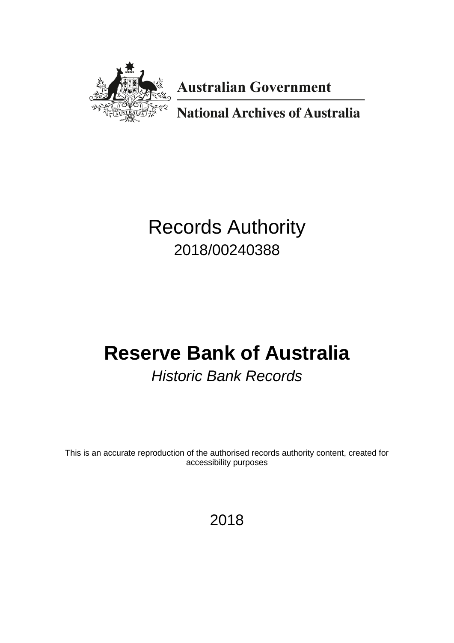

**Australian Government** 

**National Archives of Australia** 

# Records Authority 2018/00240388

# **Reserve Bank of Australia**

# *Historic Bank Records*

This is an accurate reproduction of the authorised records authority content, created for accessibility purposes

## 2018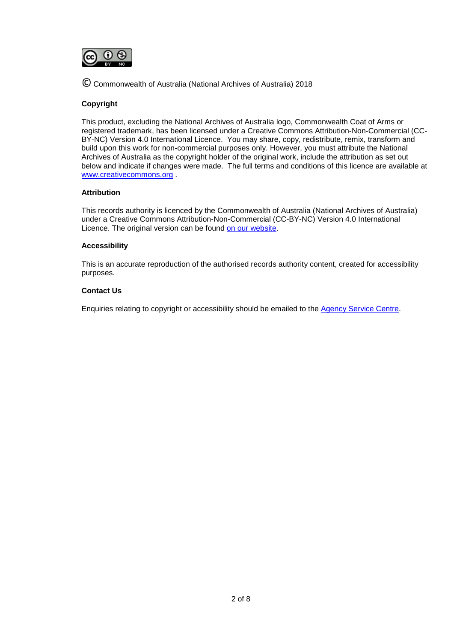

© Commonwealth of Australia (National Archives of Australia) 2018

#### **Copyright**

This product, excluding the National Archives of Australia logo, Commonwealth Coat of Arms or registered trademark, has been licensed under a Creative Commons Attribution-Non-Commercial (CC-BY-NC) Version 4.0 International Licence. You may share, copy, redistribute, remix, transform and build upon this work for non-commercial purposes only. However, you must attribute the National Archives of Australia as the copyright holder of the original work, include the attribution as set out below and indicate if changes were made. The full terms and conditions of this licence are available at [www.creativecommons.org](http://www.creativecommons.org/) .

#### **Attribution**

This records authority is licenced by the Commonwealth of Australia (National Archives of Australia) under a Creative Commons Attribution-Non-Commercial (CC-BY-NC) Version 4.0 International Licence. The original version can be found [on our website.](http://www.naa.gov.au/)

#### **Accessibility**

This is an accurate reproduction of the authorised records authority content, created for accessibility purposes.

#### **Contact Us**

Enquiries relating to copyright or accessibility should be emailed to the [Agency Service Centre.](http://reftracker.naa.gov.au/reft100.aspx?key=ASC)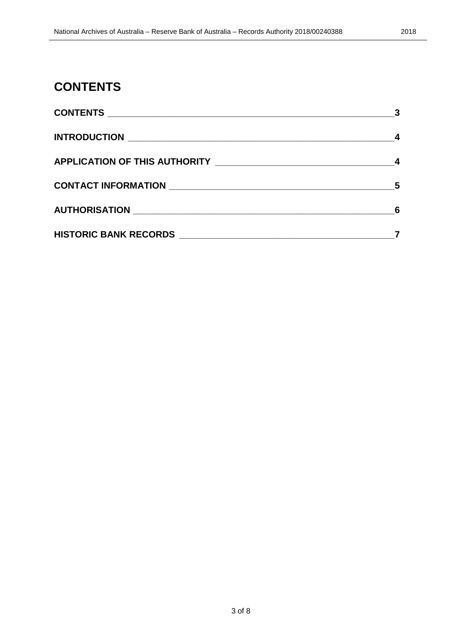### <span id="page-2-0"></span>**CONTENTS**

| 3 |
|---|
|   |
|   |
| 5 |
| 6 |
|   |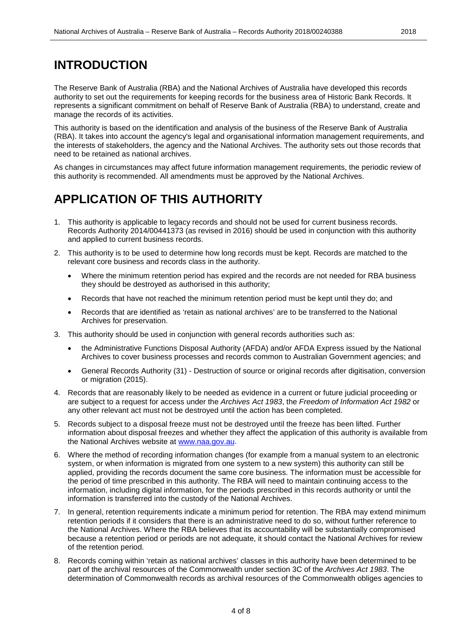### <span id="page-3-0"></span>**INTRODUCTION**

The Reserve Bank of Australia (RBA) and the National Archives of Australia have developed this records authority to set out the requirements for keeping records for the business area of Historic Bank Records. It represents a significant commitment on behalf of Reserve Bank of Australia (RBA) to understand, create and manage the records of its activities.

This authority is based on the identification and analysis of the business of the Reserve Bank of Australia (RBA). It takes into account the agency's legal and organisational information management requirements, and the interests of stakeholders, the agency and the National Archives. The authority sets out those records that need to be retained as national archives.

As changes in circumstances may affect future information management requirements, the periodic review of this authority is recommended. All amendments must be approved by the National Archives.

### <span id="page-3-1"></span>**APPLICATION OF THIS AUTHORITY**

- 1. This authority is applicable to legacy records and should not be used for current business records. Records Authority 2014/00441373 (as revised in 2016) should be used in conjunction with this authority and applied to current business records.
- 2. This authority is to be used to determine how long records must be kept. Records are matched to the relevant core business and records class in the authority.
	- Where the minimum retention period has expired and the records are not needed for RBA business they should be destroyed as authorised in this authority;
	- Records that have not reached the minimum retention period must be kept until they do; and
	- Records that are identified as 'retain as national archives' are to be transferred to the National Archives for preservation.
- 3. This authority should be used in conjunction with general records authorities such as:
	- the Administrative Functions Disposal Authority (AFDA) and/or AFDA Express issued by the National Archives to cover business processes and records common to Australian Government agencies; and
	- General Records Authority (31) Destruction of source or original records after digitisation, conversion or migration (2015).
- 4. Records that are reasonably likely to be needed as evidence in a current or future judicial proceeding or are subject to a request for access under the *Archives Act 1983*, the *Freedom of Information Act 1982* or any other relevant act must not be destroyed until the action has been completed.
- 5. Records subject to a disposal freeze must not be destroyed until the freeze has been lifted. Further information about disposal freezes and whether they affect the application of this authority is available from the National Archives website at [www.naa.gov.au.](http://www.naa.gov.au/)
- 6. Where the method of recording information changes (for example from a manual system to an electronic system, or when information is migrated from one system to a new system) this authority can still be applied, providing the records document the same core business. The information must be accessible for the period of time prescribed in this authority. The RBA will need to maintain continuing access to the information, including digital information, for the periods prescribed in this records authority or until the information is transferred into the custody of the National Archives.
- 7. In general, retention requirements indicate a minimum period for retention. The RBA may extend minimum retention periods if it considers that there is an administrative need to do so, without further reference to the National Archives. Where the RBA believes that its accountability will be substantially compromised because a retention period or periods are not adequate, it should contact the National Archives for review of the retention period.
- 8. Records coming within 'retain as national archives' classes in this authority have been determined to be part of the archival resources of the Commonwealth under section 3C of the *Archives Act 1983*. The determination of Commonwealth records as archival resources of the Commonwealth obliges agencies to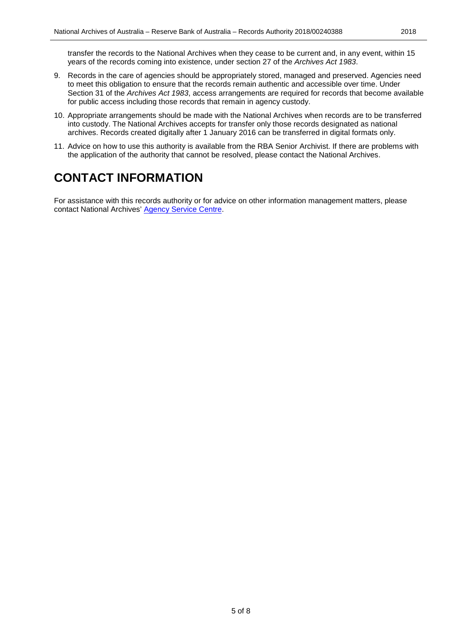transfer the records to the National Archives when they cease to be current and, in any event, within 15 years of the records coming into existence, under section 27 of the *Archives Act 1983*.

- 9. Records in the care of agencies should be appropriately stored, managed and preserved. Agencies need to meet this obligation to ensure that the records remain authentic and accessible over time. Under Section 31 of the *Archives Act 1983*, access arrangements are required for records that become available for public access including those records that remain in agency custody.
- 10. Appropriate arrangements should be made with the National Archives when records are to be transferred into custody. The National Archives accepts for transfer only those records designated as national archives. Records created digitally after 1 January 2016 can be transferred in digital formats only.
- 11. Advice on how to use this authority is available from the RBA Senior Archivist. If there are problems with the application of the authority that cannot be resolved, please contact the National Archives.

### <span id="page-4-0"></span>**CONTACT INFORMATION**

For assistance with this records authority or for advice on other information management matters, please contact National Archives' [Agency Service Centre.](http://reftracker.naa.gov.au/reft100.aspx?key=ASC)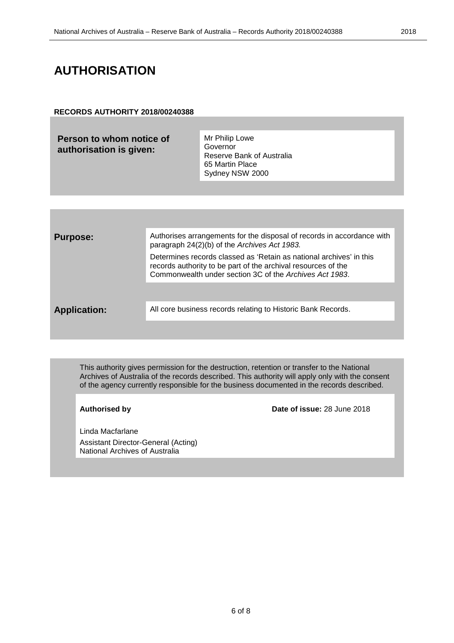#### <span id="page-5-0"></span>**RECORDS AUTHORITY 2018/00240388**

| Person to whom notice of<br>authorisation is given: | Mr Philip Lowe<br>Governor<br>Reserve Bank of Australia<br>65 Martin Place<br>Sydney NSW 2000                          |
|-----------------------------------------------------|------------------------------------------------------------------------------------------------------------------------|
|                                                     |                                                                                                                        |
|                                                     |                                                                                                                        |
| <b>Purpose:</b>                                     | Authorises arrangements for the disposal of records in accordance with<br>paragraph 24(2)(b) of the Archives Act 1983. |

Determines records classed as 'Retain as national archives' in this records authority to be part of the archival resources of the Commonwealth under section 3C of the *Archives Act 1983*.

Application: All core business records relating to Historic Bank Records.

This authority gives permission for the destruction, retention or transfer to the National Archives of Australia of the records described. This authority will apply only with the consent of the agency currently responsible for the business documented in the records described.

**Authorised by Date of issue:** 28 June 2018

Linda Macfarlane Assistant Director-General (Acting) National Archives of Australia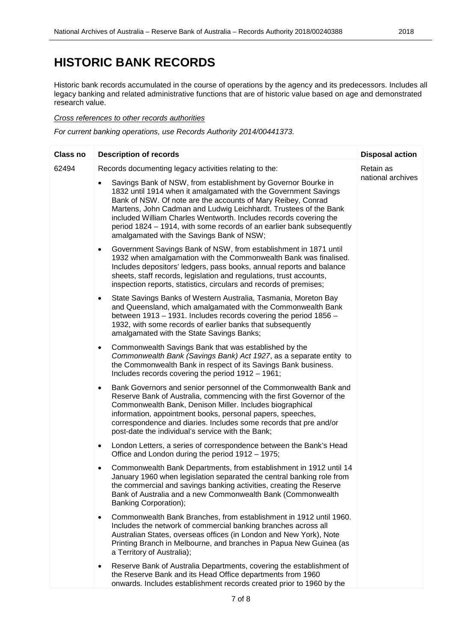### <span id="page-6-0"></span>**HISTORIC BANK RECORDS**

Historic bank records accumulated in the course of operations by the agency and its predecessors. Includes all legacy banking and related administrative functions that are of historic value based on age and demonstrated research value.

#### *Cross references to other records authorities*

*For current banking operations, use Records Authority 2014/00441373.*

| <b>Class no</b> | <b>Description of records</b>                                                                                                                                                                                                                                                                                                                                                                                                                                   | <b>Disposal action</b> |
|-----------------|-----------------------------------------------------------------------------------------------------------------------------------------------------------------------------------------------------------------------------------------------------------------------------------------------------------------------------------------------------------------------------------------------------------------------------------------------------------------|------------------------|
| 62494           | Records documenting legacy activities relating to the:                                                                                                                                                                                                                                                                                                                                                                                                          |                        |
|                 | Savings Bank of NSW, from establishment by Governor Bourke in<br>1832 until 1914 when it amalgamated with the Government Savings<br>Bank of NSW. Of note are the accounts of Mary Reibey, Conrad<br>Martens, John Cadman and Ludwig Leichhardt. Trustees of the Bank<br>included William Charles Wentworth. Includes records covering the<br>period 1824 – 1914, with some records of an earlier bank subsequently<br>amalgamated with the Savings Bank of NSW; | national archives      |
|                 | Government Savings Bank of NSW, from establishment in 1871 until<br>$\bullet$<br>1932 when amalgamation with the Commonwealth Bank was finalised.<br>Includes depositors' ledgers, pass books, annual reports and balance<br>sheets, staff records, legislation and regulations, trust accounts,<br>inspection reports, statistics, circulars and records of premises;                                                                                          |                        |
|                 | State Savings Banks of Western Australia, Tasmania, Moreton Bay<br>$\bullet$<br>and Queensland, which amalgamated with the Commonwealth Bank<br>between 1913 – 1931. Includes records covering the period 1856 –<br>1932, with some records of earlier banks that subsequently<br>amalgamated with the State Savings Banks;                                                                                                                                     |                        |
|                 | Commonwealth Savings Bank that was established by the<br>$\bullet$<br>Commonwealth Bank (Savings Bank) Act 1927, as a separate entity to<br>the Commonwealth Bank in respect of its Savings Bank business.<br>Includes records covering the period 1912 - 1961;                                                                                                                                                                                                 |                        |
|                 | Bank Governors and senior personnel of the Commonwealth Bank and<br>$\bullet$<br>Reserve Bank of Australia, commencing with the first Governor of the<br>Commonwealth Bank, Denison Miller. Includes biographical<br>information, appointment books, personal papers, speeches,<br>correspondence and diaries. Includes some records that pre and/or<br>post-date the individual's service with the Bank;                                                       |                        |
|                 | London Letters, a series of correspondence between the Bank's Head<br>$\bullet$<br>Office and London during the period 1912 - 1975;                                                                                                                                                                                                                                                                                                                             |                        |
|                 | Commonwealth Bank Departments, from establishment in 1912 until 14<br>$\bullet$<br>January 1960 when legislation separated the central banking role from<br>the commercial and savings banking activities, creating the Reserve<br>Bank of Australia and a new Commonwealth Bank (Commonwealth<br>Banking Corporation);                                                                                                                                         |                        |
|                 | Commonwealth Bank Branches, from establishment in 1912 until 1960.<br>$\bullet$<br>Includes the network of commercial banking branches across all<br>Australian States, overseas offices (in London and New York), Note<br>Printing Branch in Melbourne, and branches in Papua New Guinea (as<br>a Territory of Australia);                                                                                                                                     |                        |
|                 | Reserve Bank of Australia Departments, covering the establishment of<br>$\bullet$<br>the Reserve Bank and its Head Office departments from 1960<br>onwards. Includes establishment records created prior to 1960 by the                                                                                                                                                                                                                                         |                        |